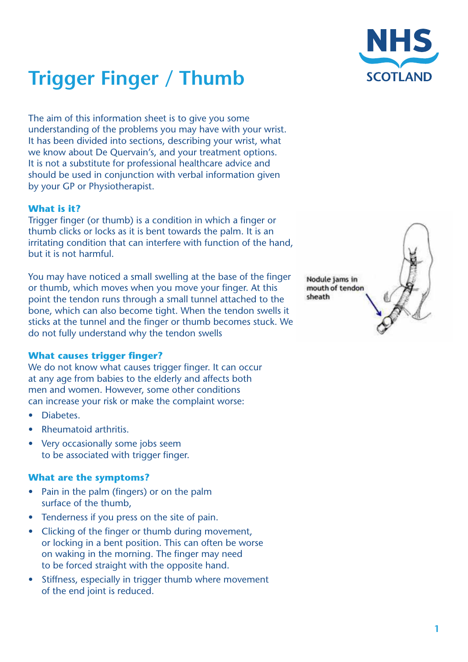# **Trigger Finger / Thumb**

The aim of this information sheet is to give you some understanding of the problems you may have with your wrist. It has been divided into sections, describing your wrist, what we know about De Quervain's, and your treatment options. It is not a substitute for professional healthcare advice and should be used in conjunction with verbal information given by your GP or Physiotherapist.

## **What is it?**

Trigger finger (or thumb) is a condition in which a finger or thumb clicks or locks as it is bent towards the palm. It is an irritating condition that can interfere with function of the hand, but it is not harmful.

You may have noticed a small swelling at the base of the finger or thumb, which moves when you move your finger. At this point the tendon runs through a small tunnel attached to the bone, which can also become tight. When the tendon swells it sticks at the tunnel and the finger or thumb becomes stuck. We do not fully understand why the tendon swells

#### **What causes trigger finger?**

We do not know what causes trigger finger. It can occur at any age from babies to the elderly and affects both men and women. However, some other conditions can increase your risk or make the complaint worse:

- Diabetes.
- Rheumatoid arthritis.
- Very occasionally some jobs seem to be associated with trigger finger.

#### **What are the symptoms?**

- Pain in the palm (fingers) or on the palm surface of the thumb,
- Tenderness if you press on the site of pain.
- Clicking of the finger or thumb during movement, or locking in a bent position. This can often be worse on waking in the morning. The finger may need to be forced straight with the opposite hand.
- Stiffness, especially in trigger thumb where movement of the end joint is reduced.

Nodule jams in mouth of tendon sheath